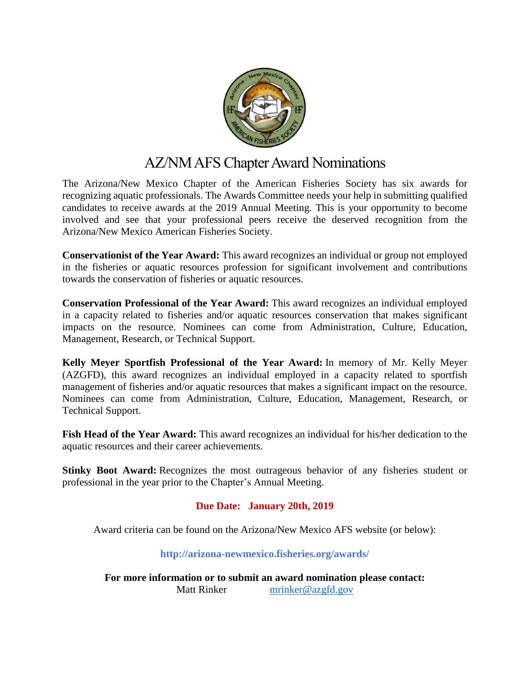

## AZ/NM AFS Chapter Award Nominations

The Arizona/New Mexico Chapter of the American Fisheries Society has six awards for recognizing aquatic professionals. The Awards Committee needs your help in submitting qualified candidates to receive awards at the 2019 Annual Meeting. This is your opportunity to become involved and see that your professional peers receive the deserved recognition from the Arizona/New Mexico American Fisheries Society.

**Conservationist of the Year Award:** This award recognizes an individual or group not employed in the fisheries or aquatic resources profession for significant involvement and contributions towards the conservation of fisheries or aquatic resources.

**Conservation Professional of the Year Award:** This award recognizes an individual employed in a capacity related to fisheries and/or aquatic resources conservation that makes significant impacts on the resource. Nominees can come from Administration, Culture, Education, Management, Research, or Technical Support.

**Kelly Meyer Sportfish Professional of the Year Award:** In memory of Mr. Kelly Meyer (AZGFD), this award recognizes an individual employed in a capacity related to sportfish management of fisheries and/or aquatic resources that makes a significant impact on the resource. Nominees can come from Administration, Culture, Education, Management, Research, or Technical Support.

**Fish Head of the Year Award:** This award recognizes an individual for his/her dedication to the aquatic resources and their career achievements.

**Stinky Boot Award:** Recognizes the most outrageous behavior of any fisheries student or professional in the year prior to the Chapter's Annual Meeting.

## **Due Date: January 20th, 2019**

Award criteria can be found on the Arizona/New Mexico AFS website (or below):

**<http://arizona-newmexico.fisheries.org/awards/>**

**For more information or to submit an award nomination please contact:** Matt Rinker [mrinker@azgfd.gov](mailto:mrinker@azgfd.gov)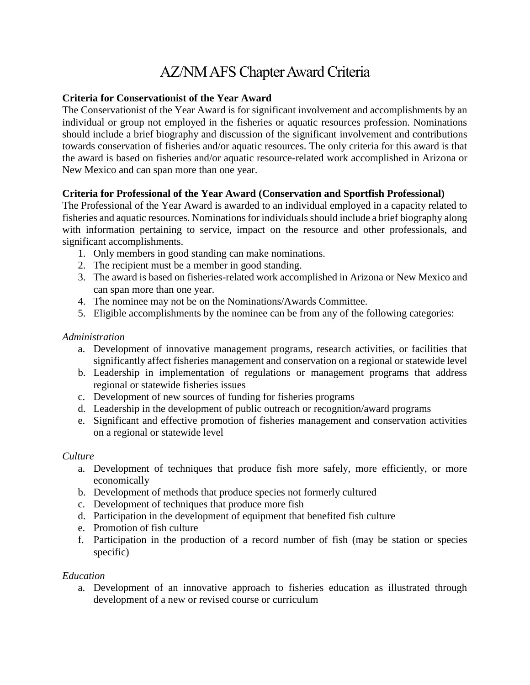# AZ/NM AFS Chapter Award Criteria

## **Criteria for Conservationist of the Year Award**

The Conservationist of the Year Award is for significant involvement and accomplishments by an individual or group not employed in the fisheries or aquatic resources profession. Nominations should include a brief biography and discussion of the significant involvement and contributions towards conservation of fisheries and/or aquatic resources. The only criteria for this award is that the award is based on fisheries and/or aquatic resource-related work accomplished in Arizona or New Mexico and can span more than one year.

## **Criteria for Professional of the Year Award (Conservation and Sportfish Professional)**

The Professional of the Year Award is awarded to an individual employed in a capacity related to fisheries and aquatic resources. Nominations for individuals should include a brief biography along with information pertaining to service, impact on the resource and other professionals, and significant accomplishments.

- 1. Only members in good standing can make nominations.
- 2. The recipient must be a member in good standing.
- 3. The award is based on fisheries-related work accomplished in Arizona or New Mexico and can span more than one year.
- 4. The nominee may not be on the Nominations/Awards Committee.
- 5. Eligible accomplishments by the nominee can be from any of the following categories:

#### *Administration*

- a. Development of innovative management programs, research activities, or facilities that significantly affect fisheries management and conservation on a regional or statewide level
- b. Leadership in implementation of regulations or management programs that address regional or statewide fisheries issues
- c. Development of new sources of funding for fisheries programs
- d. Leadership in the development of public outreach or recognition/award programs
- e. Significant and effective promotion of fisheries management and conservation activities on a regional or statewide level

#### *Culture*

- a. Development of techniques that produce fish more safely, more efficiently, or more economically
- b. Development of methods that produce species not formerly cultured
- c. Development of techniques that produce more fish
- d. Participation in the development of equipment that benefited fish culture
- e. Promotion of fish culture
- f. Participation in the production of a record number of fish (may be station or species specific)

#### *Education*

a. Development of an innovative approach to fisheries education as illustrated through development of a new or revised course or curriculum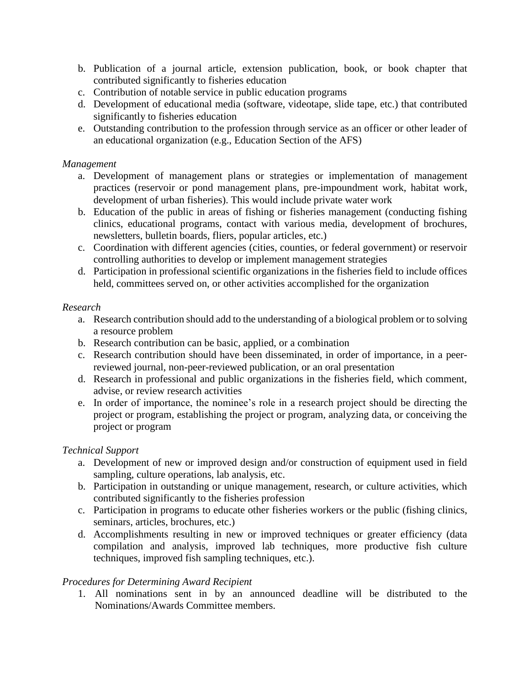- b. Publication of a journal article, extension publication, book, or book chapter that contributed significantly to fisheries education
- c. Contribution of notable service in public education programs
- d. Development of educational media (software, videotape, slide tape, etc.) that contributed significantly to fisheries education
- e. Outstanding contribution to the profession through service as an officer or other leader of an educational organization (e.g., Education Section of the AFS)

#### *Management*

- a. Development of management plans or strategies or implementation of management practices (reservoir or pond management plans, pre-impoundment work, habitat work, development of urban fisheries). This would include private water work
- b. Education of the public in areas of fishing or fisheries management (conducting fishing clinics, educational programs, contact with various media, development of brochures, newsletters, bulletin boards, fliers, popular articles, etc.)
- c. Coordination with different agencies (cities, counties, or federal government) or reservoir controlling authorities to develop or implement management strategies
- d. Participation in professional scientific organizations in the fisheries field to include offices held, committees served on, or other activities accomplished for the organization

#### *Research*

- a. Research contribution should add to the understanding of a biological problem or to solving a resource problem
- b. Research contribution can be basic, applied, or a combination
- c. Research contribution should have been disseminated, in order of importance, in a peerreviewed journal, non-peer-reviewed publication, or an oral presentation
- d. Research in professional and public organizations in the fisheries field, which comment, advise, or review research activities
- e. In order of importance, the nominee's role in a research project should be directing the project or program, establishing the project or program, analyzing data, or conceiving the project or program

#### *Technical Support*

- a. Development of new or improved design and/or construction of equipment used in field sampling, culture operations, lab analysis, etc.
- b. Participation in outstanding or unique management, research, or culture activities, which contributed significantly to the fisheries profession
- c. Participation in programs to educate other fisheries workers or the public (fishing clinics, seminars, articles, brochures, etc.)
- d. Accomplishments resulting in new or improved techniques or greater efficiency (data compilation and analysis, improved lab techniques, more productive fish culture techniques, improved fish sampling techniques, etc.).

#### *Procedures for Determining Award Recipient*

1. All nominations sent in by an announced deadline will be distributed to the Nominations/Awards Committee members.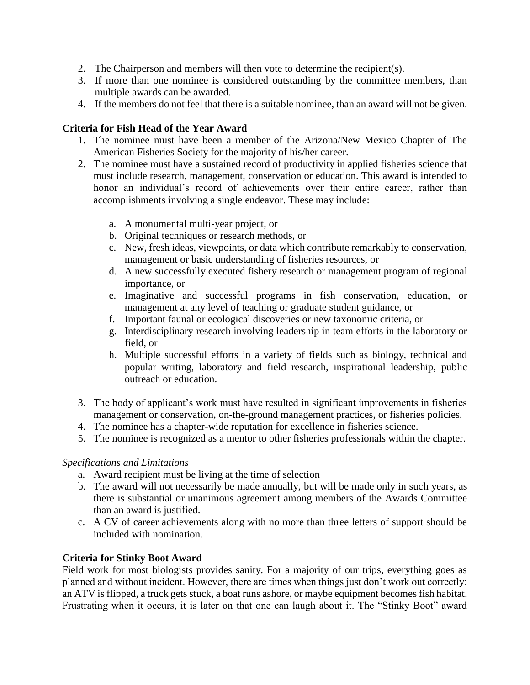- 2. The Chairperson and members will then vote to determine the recipient(s).
- 3. If more than one nominee is considered outstanding by the committee members, than multiple awards can be awarded.
- 4. If the members do not feel that there is a suitable nominee, than an award will not be given.

## **Criteria for Fish Head of the Year Award**

- 1. The nominee must have been a member of the Arizona/New Mexico Chapter of The American Fisheries Society for the majority of his/her career.
- 2. The nominee must have a sustained record of productivity in applied fisheries science that must include research, management, conservation or education. This award is intended to honor an individual's record of achievements over their entire career, rather than accomplishments involving a single endeavor. These may include:
	- a. A monumental multi-year project, or
	- b. Original techniques or research methods, or
	- c. New, fresh ideas, viewpoints, or data which contribute remarkably to conservation, management or basic understanding of fisheries resources, or
	- d. A new successfully executed fishery research or management program of regional importance, or
	- e. Imaginative and successful programs in fish conservation, education, or management at any level of teaching or graduate student guidance, or
	- f. Important faunal or ecological discoveries or new taxonomic criteria, or
	- g. Interdisciplinary research involving leadership in team efforts in the laboratory or field, or
	- h. Multiple successful efforts in a variety of fields such as biology, technical and popular writing, laboratory and field research, inspirational leadership, public outreach or education.
- 3. The body of applicant's work must have resulted in significant improvements in fisheries management or conservation, on-the-ground management practices, or fisheries policies.
- 4. The nominee has a chapter-wide reputation for excellence in fisheries science.
- 5. The nominee is recognized as a mentor to other fisheries professionals within the chapter.

#### *Specifications and Limitations*

- a. Award recipient must be living at the time of selection
- b. The award will not necessarily be made annually, but will be made only in such years, as there is substantial or unanimous agreement among members of the Awards Committee than an award is justified.
- c. A CV of career achievements along with no more than three letters of support should be included with nomination.

## **Criteria for Stinky Boot Award**

Field work for most biologists provides sanity. For a majority of our trips, everything goes as planned and without incident. However, there are times when things just don't work out correctly: an ATV is flipped, a truck gets stuck, a boat runs ashore, or maybe equipment becomes fish habitat. Frustrating when it occurs, it is later on that one can laugh about it. The "Stinky Boot" award